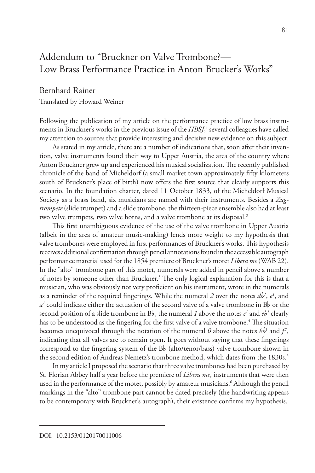## Addendum to "Bruckner on Valve Trombone?— Low Brass Performance Practice in Anton Brucker's Works"

## Bernhard Rainer

Translated by Howard Weiner

Following the publication of my article on the performance practice of low brass instruments in Bruckner's works in the previous issue of the *HBSJ*,<sup>1</sup> several colleagues have called my attention to sources that provide interesting and decisive new evidence on this subject.

As stated in my article, there are a number of indications that, soon after their invention, valve instruments found their way to Upper Austria, the area of the country where Anton Bruckner grew up and experienced his musical socialization. The recently published chronicle of the band of Micheldorf (a small market town approximately fifty kilometers south of Bruckner's place of birth) now offers the first source that clearly supports this scenario. In the foundation charter, dated 11 October 1833, of the Micheldorf Musical Society as a brass band, six musicians are named with their instruments. Besides a *Zugtrompete* (slide trumpet) and a slide trombone, the thirteen-piece ensemble also had at least two valve trumpets, two valve horns, and a valve trombone at its disposal.<sup>2</sup>

This first unambiguous evidence of the use of the valve trombone in Upper Austria (albeit in the area of amateur music-making) lends more weight to my hypothesis that valve trombones were employed in first performances of Bruckner's works. This hypothesis receives additional confirmation through pencil annotations found in the accessible autograph performance material used for the 1854 premiere of Bruckner's motet *Libera me* (WAB 22). In the "alto" trombone part of this motet, numerals were added in pencil above a number of notes by someone other than Bruckner.3 The only logical explanation for this is that a musician, who was obviously not very proficient on his instrument, wrote in the numerals as a reminder of the required fingerings. While the numeral 2 over the notes  $d\phi^1$ ,  $e^1$ , and  $a<sup>1</sup>$  could indicate either the actuation of the second valve of a valve trombone in B<sub>p</sub> or the second position of a slide trombone in  $B_{\mathsf{b}}$ , the numeral *1* above the notes  $c^{\prime}$  and  $e_{\mathsf{b}}^{\prime}$  clearly has to be understood as the fingering for the first valve of a valve trombone.<sup>4</sup> The situation becomes unequivocal through the notation of the numeral  $\theta$  above the notes  $b\beta^T$  and  $f^T$ , indicating that all valves are to remain open. It goes without saying that these fingerings correspond to the fingering system of the  $B_b$  (alto/tenor/bass) valve trombone shown in the second edition of Andreas Nemetz's trombone method, which dates from the 1830s.<sup>5</sup>

In my article I proposed the scenario that three valve trombones had been purchased by St. Florian Abbey half a year before the premiere of *Libera me*, instruments that were then used in the performance of the motet, possibly by amateur musicians.6 Although the pencil markings in the "alto" trombone part cannot be dated precisely (the handwriting appears to be contemporary with Bruckner's autograph), their existence confirms my hypothesis.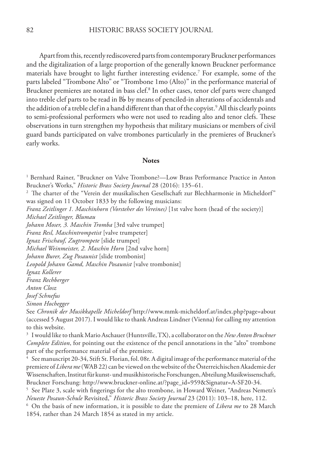Apart from this, recently rediscovered parts from contemporary Bruckner performances and the digitalization of a large proportion of the generally known Bruckner performance materials have brought to light further interesting evidence.7 For example, some of the parts labeled "Trombone Alto" or "Trombone 1mo (Alto)" in the performance material of Bruckner premieres are notated in bass clef.<sup>8</sup> In other cases, tenor clef parts were changed into treble clef parts to be read in  $B_b$  by means of penciled-in alterations of accidentals and the addition of a treble clef in a hand different than that of the copyist.<sup>9</sup> All this clearly points to semi-professional performers who were not used to reading alto and tenor clefs. These observations in turn strengthen my hypothesis that military musicians or members of civil guard bands participated on valve trombones particularly in the premieres of Bruckner's early works.

## **Notes**

1 Bernhard Rainer, "Bruckner on Valve Trombone?—Low Brass Performance Practice in Anton Bruckner's Works," *Historic Brass Society Journal* 28 (2016): 135–61.

<sup>2</sup> The charter of the "Verein der musikalischen Gesellschaft zur Blechharmonie in Micheldorf" was signed on 11 October 1833 by the following musicians:

*Franz Zeitlinger 1. Maschinhorn (Vorsteher des Vereines)* [1st valve horn (head of the society)] *Michael Zeitlinger, Blumau*

*Johann Moser, 3. Maschin Tromba* [3rd valve trumpet]

*Franz Resl, Maschintrompetist* [valve trumpeter]

*Ignaz Frischauf, Zugtrompete* [slide trumpet]

*Michael Weinmeister, 2. Maschin Horn* [2nd valve horn]

*Johann Burer, Zug Posaunist* [slide trombonist]

*Leopold Johann Gamd, Maschin Posaunist* [valve trombonist]

*Ignaz Kollerer*

*Franz Rechberger* 

*Anton Closz*

*Josef Schnefus*

*Simon Hochegger*

See *Chronik der Musikkapelle Micheldorf* http://www.mmk-micheldorf.at/index.php?page=about (accessed 5 August 2017). I would like to thank Andreas Lindner (Vienna) for calling my attention to this website.

<sup>3</sup> I would like to thank Mario Aschauer (Huntsville, TX), a collaborator on the *New Anton Bruckner Complete Edition*, for pointing out the existence of the pencil annotations in the "alto" trombone part of the performance material of the premiere.

See manuscript 20-34, Stift St. Florian, fol. 08r. A digital image of the performance material of the premiere of *Libera me* (WAB 22) can be viewed on the website of the Österreichischen Akademie der Wissenschaften, Institut für kunst- und musikhistorische Forschungen, Abteilung Musikwissenschaft, Bruckner Forschung: http://www.bruckner-online.at/?page\_id=959&Signatur=A-SF20-34.

<sup>5</sup> See Plate 3, scale with fingerings for the alto trombone, in Howard Weiner, "Andreas Nemetz's *Neueste Posaun-Schule* Revisited," *Historic Brass Society Journal* 23 (2011): 103–18, here, 112.

<sup>6</sup> On the basis of new information, it is possible to date the premiere of *Libera me* to 28 March 1854, rather than 24 March 1854 as stated in my article.